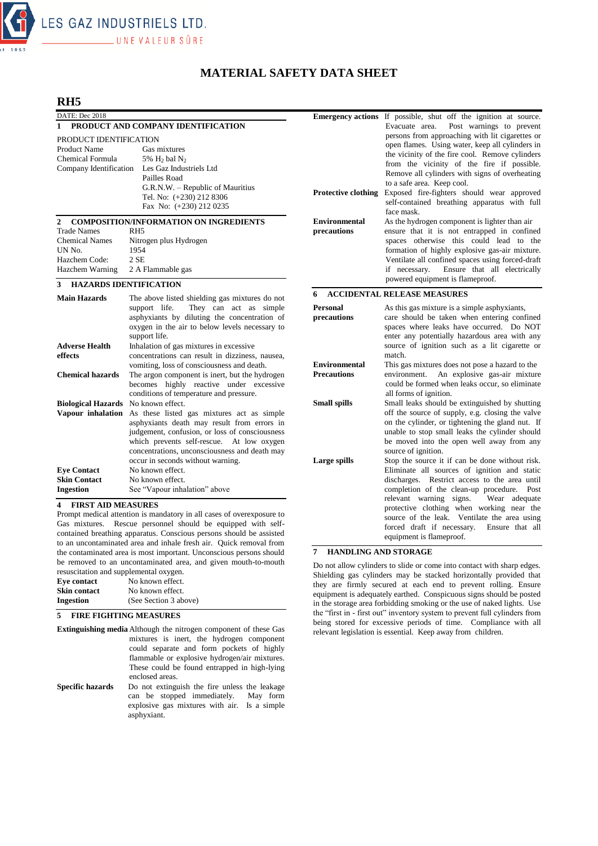

# **MATERIAL SAFETY DATA SHEET**

## **RH5**

| DATE: Dec 2018                                                                                                                        |                                                                     |                            | <b>Emergency actions</b> If possible, shut off the ignition at source. |
|---------------------------------------------------------------------------------------------------------------------------------------|---------------------------------------------------------------------|----------------------------|------------------------------------------------------------------------|
| PRODUCT AND COMPANY IDENTIFICATION<br>$\mathbf{1}$                                                                                    |                                                                     |                            | Evacuate area. Post warnings to prevent                                |
| PRODUCT IDENTIFICATION                                                                                                                |                                                                     |                            | persons from approaching with lit cigarettes or                        |
| <b>Product Name</b>                                                                                                                   | Gas mixtures                                                        |                            | open flames. Using water, keep all cylinders in                        |
| Chemical Formula                                                                                                                      | 5% $H_2$ bal $N_2$                                                  |                            | the vicinity of the fire cool. Remove cylinders                        |
|                                                                                                                                       | Company Identification Les Gaz Industriels Ltd                      |                            | from the vicinity of the fire if possible.                             |
|                                                                                                                                       | Pailles Road                                                        |                            | Remove all cylinders with signs of overheating                         |
|                                                                                                                                       | G.R.N.W. - Republic of Mauritius                                    |                            | to a safe area. Keep cool.                                             |
|                                                                                                                                       | Tel. No: (+230) 212 8306                                            | <b>Protective clothing</b> | Exposed fire-fighters should wear approved                             |
|                                                                                                                                       | Fax No: (+230) 212 0235                                             |                            | self-contained breathing apparatus with full                           |
|                                                                                                                                       |                                                                     |                            | face mask.                                                             |
| 2                                                                                                                                     | <b>COMPOSITION/INFORMATION ON INGREDIENTS</b>                       | <b>Environmental</b>       | As the hydrogen component is lighter than air                          |
| <b>Trade Names</b>                                                                                                                    | RH <sub>5</sub>                                                     | precautions                | ensure that it is not entrapped in confined                            |
| <b>Chemical Names</b>                                                                                                                 | Nitrogen plus Hydrogen                                              |                            | spaces otherwise this could lead to the                                |
| UN No.                                                                                                                                | 1954                                                                |                            | formation of highly explosive gas-air mixture.                         |
| Hazchem Code:                                                                                                                         | 2SE                                                                 |                            | Ventilate all confined spaces using forced-draft                       |
| Hazchem Warning                                                                                                                       | 2 A Flammable gas                                                   |                            | Ensure that all electrically<br>if necessary.                          |
| 3                                                                                                                                     | <b>HAZARDS IDENTIFICATION</b>                                       |                            | powered equipment is flameproof.                                       |
| <b>Main Hazards</b>                                                                                                                   | The above listed shielding gas mixtures do not                      | 6                          | <b>ACCIDENTAL RELEASE MEASURES</b>                                     |
|                                                                                                                                       | support life.<br>They can act as simple                             | <b>Personal</b>            | As this gas mixture is a simple asphyxiants,                           |
|                                                                                                                                       | asphyxiants by diluting the concentration of                        | precautions                | care should be taken when entering confined                            |
|                                                                                                                                       | oxygen in the air to below levels necessary to                      |                            | spaces where leaks have occurred. Do NOT                               |
|                                                                                                                                       | support life.                                                       |                            | enter any potentially hazardous area with any                          |
| <b>Adverse Health</b>                                                                                                                 | Inhalation of gas mixtures in excessive                             |                            | source of ignition such as a lit cigarette or                          |
| effects                                                                                                                               | concentrations can result in dizziness, nausea,                     |                            | match.                                                                 |
|                                                                                                                                       | vomiting, loss of consciousness and death.                          | <b>Environmental</b>       | This gas mixtures does not pose a hazard to the                        |
| <b>Chemical hazards</b>                                                                                                               | The argon component is inert, but the hydrogen                      | <b>Precautions</b>         | environment.<br>An explosive gas-air mixture                           |
|                                                                                                                                       | becomes highly reactive under excessive                             |                            | could be formed when leaks occur, so eliminate                         |
|                                                                                                                                       | conditions of temperature and pressure.                             |                            | all forms of ignition.                                                 |
| Biological Hazards No known effect.                                                                                                   |                                                                     | <b>Small spills</b>        | Small leaks should be extinguished by shutting                         |
|                                                                                                                                       | Vapour inhalation As these listed gas mixtures act as simple        |                            | off the source of supply, e.g. closing the valve                       |
|                                                                                                                                       | asphyxiants death may result from errors in                         |                            | on the cylinder, or tightening the gland nut. If                       |
|                                                                                                                                       | judgement, confusion, or loss of consciousness                      |                            | unable to stop small leaks the cylinder should                         |
|                                                                                                                                       | which prevents self-rescue. At low oxygen                           |                            | be moved into the open well away from any                              |
|                                                                                                                                       | concentrations, unconsciousness and death may                       |                            | source of ignition.                                                    |
|                                                                                                                                       | occur in seconds without warning.                                   | Large spills               | Stop the source it if can be done without risk.                        |
| <b>Eve Contact</b>                                                                                                                    | No known effect.                                                    |                            | Eliminate all sources of ignition and static                           |
| <b>Skin Contact</b>                                                                                                                   | No known effect.                                                    |                            | discharges. Restrict access to the area until                          |
| <b>Ingestion</b>                                                                                                                      | See "Vapour inhalation" above                                       |                            | completion of the clean-up procedure. Post                             |
|                                                                                                                                       |                                                                     |                            | relevant warning signs.<br>Wear adequate                               |
| <b>FIRST AID MEASURES</b><br>4                                                                                                        |                                                                     |                            | protective clothing when working near the                              |
| Prompt medical attention is mandatory in all cases of overexposure to<br>Gas mixtures. Rescue personnel should be equipped with self- |                                                                     |                            | source of the leak. Ventilate the area using                           |
|                                                                                                                                       | contained breathing apparatus. Conscious persons should be assisted |                            | forced draft if necessary. Ensure that all                             |
|                                                                                                                                       |                                                                     |                            | equinment is flamenroof                                                |

## equipment is flameproof. **7 HANDLING AND STORAGE**

Do not allow cylinders to slide or come into contact with sharp edges. Shielding gas cylinders may be stacked horizontally provided that they are firmly secured at each end to prevent rolling. Ensure equipment is adequately earthed. Conspicuous signs should be posted in the storage area forbidding smoking or the use of naked lights. Use the "first in - first out" inventory system to prevent full cylinders from being stored for excessive periods of time. Compliance with all relevant legislation is essential. Keep away from children.

| contained oreatining apparatus. Conservus persons should be assisted |
|----------------------------------------------------------------------|
| to an uncontaminated area and inhale fresh air. Quick removal from   |
| the contaminated area is most important. Unconscious persons should  |

be removed to an uncontaminated area, and given mouth-to-mouth resuscitation and supplemental oxygen.

| Eve contact         | No known effect.      |
|---------------------|-----------------------|
| <b>Skin contact</b> | No known effect.      |
| Ingestion           | (See Section 3 above) |

#### **5 FIRE FIGHTING MEASURES**

**Extinguishing media** Although the nitrogen component of these Gas mixtures is inert, the hydrogen component could separate and form pockets of highly flammable or explosive hydrogen/air mixtures. These could be found entrapped in high-lying enclosed areas. Specific hazards Do not extinguish the fire unless the leakage can be stopped immediately. May form

explosive gas mixtures with air. Is a simple asphyxiant.